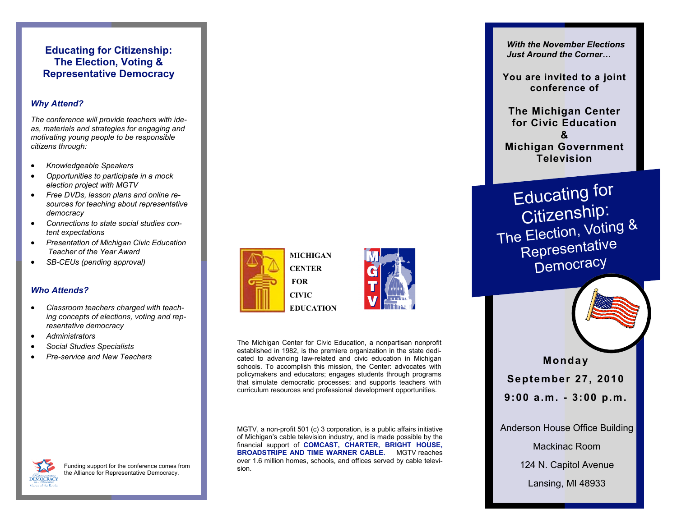# **Educating for Citizenship: The Election, Voting & Representative Democracy**

# *Why Attend?*

*The conference will provide teachers with ideas, materials and strategies for engaging and motivating young people to be responsible citizens through:*

- *Knowledgeable Speakers*
- *Opportunities to participate in a mock election project with MGTV*
- *Free DVDs, lesson plans and online resources for teaching about representative democracy*
- *Connections to state social studies content expectations*
- *Presentation of Michigan Civic Education Teacher of the Year Award*
- *SB-CEUs (pending approval)*

## *Who Attends?*

- *Classroom teachers charged with teaching concepts of elections, voting and representative democracy*
- *Administrators*
- *Social Studies Specialists*
- *Preservice and New Teachers*



**FOR CIVIC**

**EDUCATION**



The Michigan Center for Civic Education, a nonpartisan nonprofit established in 1982, is the premiere organization in the state dedicated to advancing law-related and civic education in Michigan schools. To accomplish this mission, the Center: advocates with policymakers and educators; engages students through programs that simulate democratic processes; and supports teachers with curriculum resources and professional development opportunities.

MGTV, a non-profit 501 (c) 3 corporation, is a public affairs initiative of Michigan's cable television industry, and is made possible by the financial support of **COMCAST, CHARTER, BRIGHT HOUSE, BROADSTRIPE AND TIME WARNER CABLE.** MGTV reaches over 1.6 million homes, schools, and offices served by cable television.

*With the November Elections Just Around the Corner…*

**You are invited to a joint conference of** 

**The Michigan Center for Civic Education & Michigan Government Television**

Educating for<br>Citizenship: The Election, Voting & Representative **Democracy** 

**Mond a y September 27, 2010 9 : 0 0 a.m. 3 : 0 0 p.m.**

Anderson House Office Building

Mackinac Room

124 N. Capitol Avenue

Lansing, MI 48933

Funding support for the conference comes from the Alliance for Representative Democracy.**DEMOCRACY** es of the Book